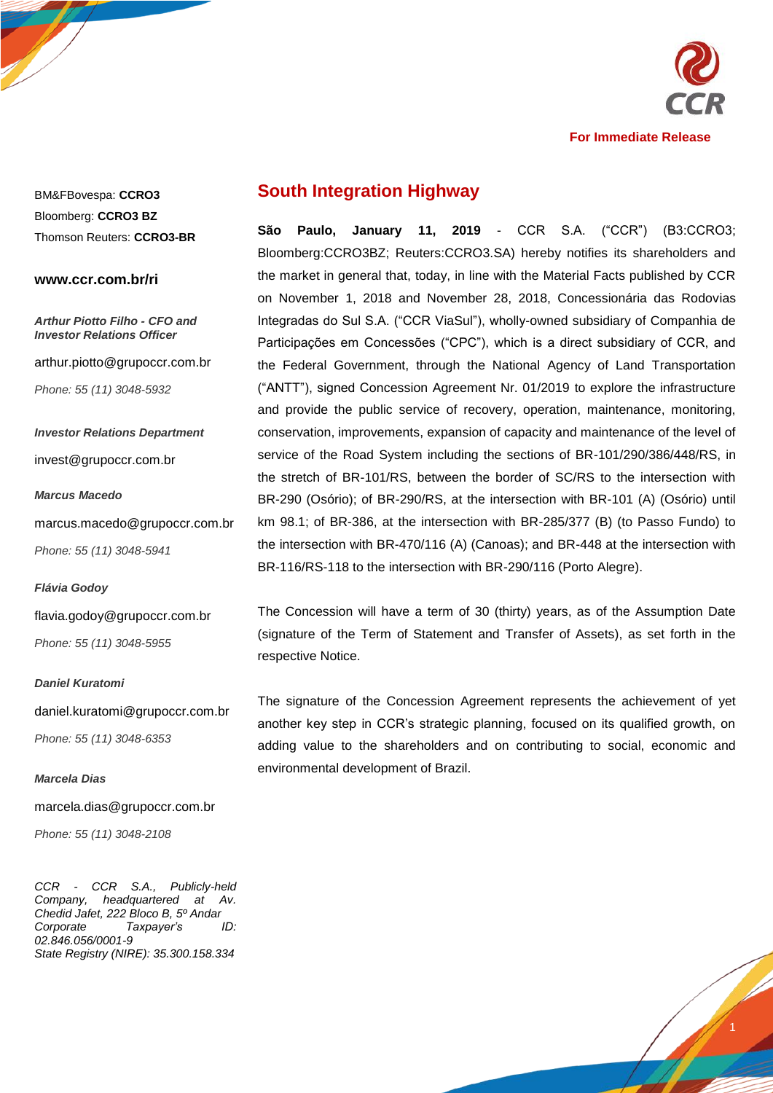

1

BM&FBovespa: **CCRO3** Bloomberg: **CCRO3 BZ** Thomson Reuters: **CCRO3-BR**

## **www.ccr.com.br/ri**

*Arthur Piotto Filho - CFO and Investor Relations Officer*

arthur.piotto@grupoccr.com.br *Phone: 55 (11) 3048-5932*

*Investor Relations Department* invest@grupoccr.com.br

#### *Marcus Macedo*

marcus.macedo@grupoccr.com.br *Phone: 55 (11) 3048-5941*

#### *Flávia Godoy*

flavia.godoy@grupoccr.com.br *Phone: 55 (11) 3048-5955*

#### *Daniel Kuratomi*

daniel.kuratomi@grupoccr.com.br *Phone: 55 (11) 3048-6353*

#### *Marcela Dias*

marcela.dias@grupoccr.com.br

*Phone: 55 (11) 3048-2108*

*CCR - CCR S.A., Publicly-held Company, headquartered at Av. Chedid Jafet, 222 Bloco B, 5º Andar Corporate Taxpayer's ID: 02.846.056/0001-9 State Registry (NIRE): 35.300.158.334*

# **South Integration Highway**

**São Paulo, January 11, 2019** - CCR S.A. ("CCR") (B3:CCRO3; Bloomberg:CCRO3BZ; Reuters:CCRO3.SA) hereby notifies its shareholders and the market in general that, today, in line with the Material Facts published by CCR on November 1, 2018 and November 28, 2018, Concessionária das Rodovias Integradas do Sul S.A. ("CCR ViaSul"), wholly-owned subsidiary of Companhia de Participações em Concessões ("CPC"), which is a direct subsidiary of CCR, and the Federal Government, through the National Agency of Land Transportation ("ANTT"), signed Concession Agreement Nr. 01/2019 to explore the infrastructure and provide the public service of recovery, operation, maintenance, monitoring, conservation, improvements, expansion of capacity and maintenance of the level of service of the Road System including the sections of BR-101/290/386/448/RS, in the stretch of BR-101/RS, between the border of SC/RS to the intersection with BR-290 (Osório); of BR-290/RS, at the intersection with BR-101 (A) (Osório) until km 98.1; of BR-386, at the intersection with BR-285/377 (B) (to Passo Fundo) to the intersection with BR-470/116 (A) (Canoas); and BR-448 at the intersection with BR-116/RS-118 to the intersection with BR-290/116 (Porto Alegre).

The Concession will have a term of 30 (thirty) years, as of the Assumption Date (signature of the Term of Statement and Transfer of Assets), as set forth in the respective Notice.

The signature of the Concession Agreement represents the achievement of yet another key step in CCR's strategic planning, focused on its qualified growth, on adding value to the shareholders and on contributing to social, economic and environmental development of Brazil.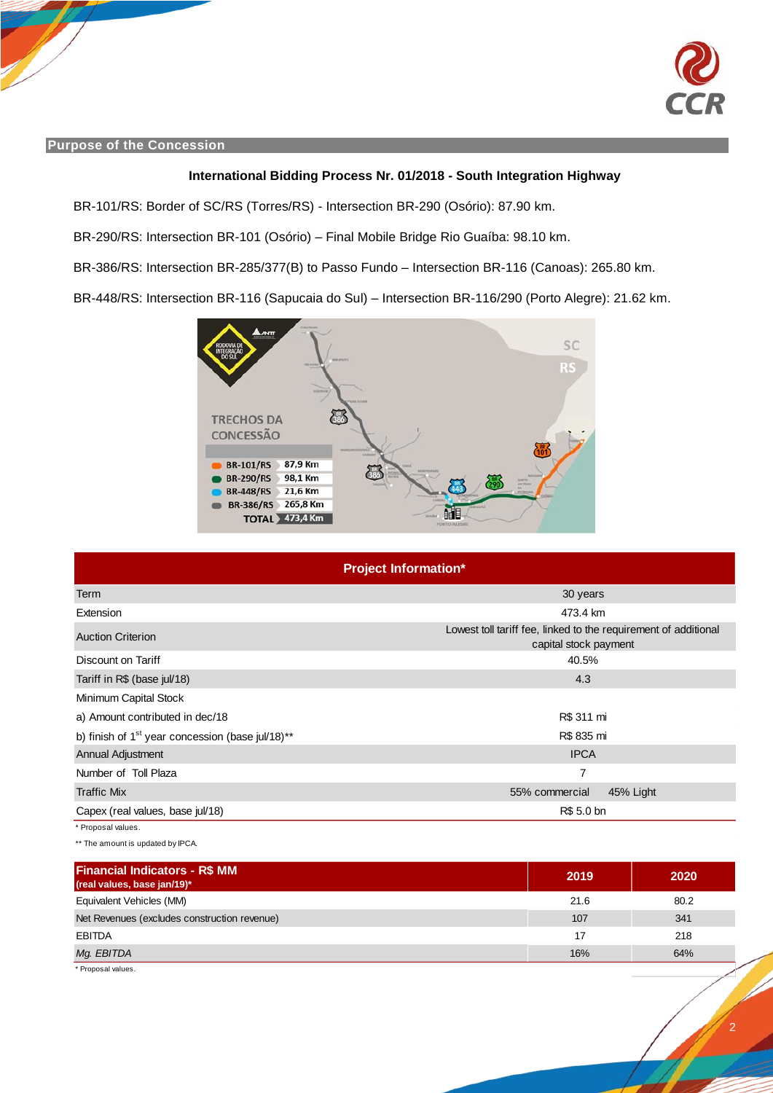

### **Purpose of the Concession**

# **International Bidding Process Nr. 01/2018 - South Integration Highway**

BR-101/RS: Border of SC/RS (Torres/RS) - Intersection BR-290 (Osório): 87.90 km.

BR-290/RS: Intersection BR-101 (Osório) – Final Mobile Bridge Rio Guaíba: 98.10 km.

BR-386/RS: Intersection BR-285/377(B) to Passo Fundo – Intersection BR-116 (Canoas): 265.80 km.

BR-448/RS: Intersection BR-116 (Sapucaia do Sul) – Intersection BR-116/290 (Porto Alegre): 21.62 km.



| <b>Project Information*</b>                                    |                                                                                          |  |  |
|----------------------------------------------------------------|------------------------------------------------------------------------------------------|--|--|
| Term                                                           | 30 years                                                                                 |  |  |
| Extension                                                      | 473.4 km                                                                                 |  |  |
| <b>Auction Criterion</b>                                       | Lowest toll tariff fee, linked to the requirement of additional<br>capital stock payment |  |  |
| Discount on Tariff                                             | 40.5%                                                                                    |  |  |
| Tariff in R\$ (base jul/18)                                    | 4.3                                                                                      |  |  |
| Minimum Capital Stock                                          |                                                                                          |  |  |
| a) Amount contributed in dec/18                                | R\$ 311 mi                                                                               |  |  |
| b) finish of $1st$ year concession (base jul/18) <sup>**</sup> | R\$ 835 mi                                                                               |  |  |
| <b>Annual Adjustment</b>                                       | <b>IPCA</b>                                                                              |  |  |
| Number of Toll Plaza                                           | 7                                                                                        |  |  |
| <b>Traffic Mix</b>                                             | 45% Light<br>55% commercial                                                              |  |  |
| Capex (real values, base jul/18)                               | R\$ 5.0 bn                                                                               |  |  |
| * Proposal values.                                             |                                                                                          |  |  |

\*\* The amount is updated by IPCA.

| <b>Financial Indicators - R\$ MM</b><br>(real values, base jan/19)* | 2019 | 2020 |
|---------------------------------------------------------------------|------|------|
| Equivalent Vehicles (MM)                                            | 21.6 | 80.2 |
| Net Revenues (excludes construction revenue)                        | 107  | 341  |
| EBITDA                                                              | 17   | 218  |
| Mg. EBITDA                                                          | 16%  | 64%  |
| $\cdots$                                                            |      |      |

Proposal values.